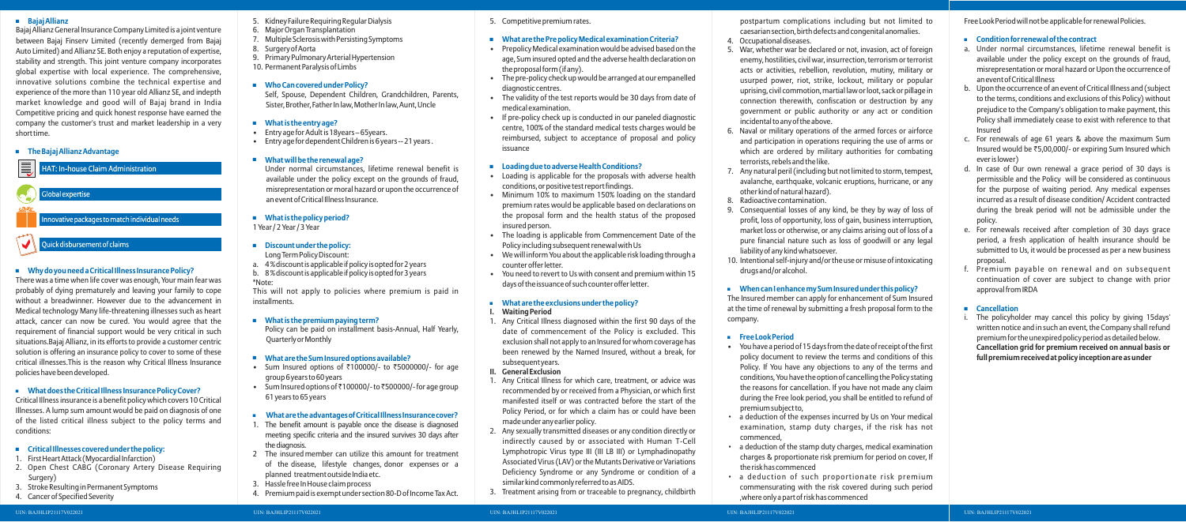### **Bajaj Allianz**

Bajaj Allianz General Insurance Company Limited is a joint venture between Bajaj Finserv Limited (recently demerged from Bajaj Auto Limited) and Allianz SE. Both enjoy a reputation of expertise, stability and strength. This joint venture company incorporates global expertise with local experience. The comprehensive, innovative solutions combine the technical expertise and experience of the more than 110 year old Allianz SE, and indepth market knowledge and good will of Bajaj brand in India Competitive pricing and quick honest response have earned the company the customer's trust and market leadership in a very short time.

**The Bajaj Allianz Advantage**

HAT: In-house Claim Administration

Global expertise

nnovative packages to match individual needs

# Quick disbursement of claims

# **Why do you need a Critical Illness Insurance Policy?**

There was a time when life cover was enough, Your main fear was probably of dying prematurely and leaving your family to cope without a breadwinner. However due to the advancement in Medical technology Many life-threatening illnesses such as heart attack, cancer can now be cured. You would agree that the requirement of financial support would be very critical in such situations.Bajaj Allianz, in its efforts to provide a customer centric solution is offering an insurance policy to cover to some of these critical illnesses.This is the reason why Critical Illness Insurance policies have been developed.

# **What does the Critical Illness Insurance Policy Cover?**

Critical Illness insurance is a benefit policy which covers 10 Critical Illnesses. A lump sum amount would be paid on diagnosis of one of the listed critical illness subject to the policy terms and conditions:

- Sum Insured options of  $\overline{\overline{\epsilon}}$ 100000/- to  $\overline{\overline{\epsilon}}$ 5000000/- for age group 6 years to 60 years
- Sum Insured options of  $\bar{\tau}$ 100000/- to  $\bar{\tau}$ 500000/- for age group 61 years to 65 years

### **Critical Illnesses covered under the policy:**

- 1. First Heart Attack (Myocardial Infarction)
- 2. Open Chest CABG (Coronary Artery Disease Requiring Surgery)
- 3. Stroke Resulting in Permanent Symptoms
- 4. Cancer of Specified Severity

5. Kidney Failure Requiring Regular Dialysis

6. Major Organ Transplantation

7. Multiple Sclerosis with Persisting Symptoms

8. Surgery of Aorta

9. Primary Pulmonary Arterial Hypertension

10. Permanent Paralysis of Limbs

**Who Can covered under Policy?**

Self, Spouse, Dependent Children, Grandchildren, Parents, Sister, Brother, Father In law, Mother In law, Aunt, Uncle

- - **What is the entry age?**
	- Entry age for Adult is 18years 65years.

• Entry age for dependent Children is 6 years -- 21 years .

### **What will be the renewal age?**

Under normal circumstances, lifetime renewal benefit is available under the policy except on the grounds of fraud, misrepresentation or moral hazard or upon the occurrence of an event of Critical Illness Insurance.

# **What is the policy period?**

1 Year / 2 Year / 3 Year

# **Discount under the policy:**

- Long Term Policy Discount:
- a. 4 % discount is applicable if policy is opted for 2 years
- b. 8 % discount is applicable if policy is opted for 3 years \*Note:

This will not apply to policies where premium is paid in installments.

### **What is the premium paying term?**

Policy can be paid on installment basis-Annual, Half Yearly, Quarterly or Monthly

#### **What are the Sum Insured options available?**

### **What are the advantages of Critical Illness Insurance cover?**

- 1. The benefit amount is payable once the disease is diagnosed meeting specific criteria and the insured survives 30 days after the diagnosis.
- 2 The insured member can utilize this amount for treatment of the disease, lifestyle changes, donor expenses or a planned treatment outside India etc.
- 3. Hassle free In House claim process
- 4. Premium paid is exempt under section 80-D of Income Tax Act.
- 5. Competitive premium rates.
- **What are the Pre policy Medical examination Criteria?**
- Prepolicy Medical examination would be advised based on the age, Sum insured opted and the adverse health declaration on the proposal form (if any).
- The pre-policy check up would be arranged at our empanelled diagnostic centres.
- The validity of the test reports would be 30 days from date of medical examination.
- If pre-policy check up is conducted in our paneled diagnostic centre, 100% of the standard medical tests charges would be reimbursed, subject to acceptance of proposal and policy issuance

#### **Loading due to adverse Health Conditions?**

- Loading is applicable for the proposals with adverse health conditions, or positive test report findings.
- Minimum 10% to maximum 150% loading on the standard premium rates would be applicable based on declarations on the proposal form and the health status of the proposed insured person.
- The loading is applicable from Commencement Date of the Policy including subsequent renewal with Us
- We will inform You about the applicable risk loading through a counter offer letter.
- You need to revert to Us with consent and premium within 15 days of the issuance of such counter offer letter.

#### **What are the exclusions under the policy?**

#### **I. Waiting Period**

1. Any Critical Illness diagnosed within the first 90 days of the date of commencement of the Policy is excluded. This exclusion shall not apply to an Insured for whom coverage has been renewed by the Named Insured, without a break, for subsequent years.

#### **II. General Exclusion**

- 1. Any Critical Illness for which care, treatment, or advice was recommended by or received from a Physician, or which first manifested itself or was contracted before the start of the Policy Period, or for which a claim has or could have been made under any earlier policy.
- 2. Any sexually transmitted diseases or any condition directly or indirectly caused by or associated with Human T-Cell Lymphotropic Virus type III (III LB III) or Lymphadinopathy Associated Virus (LAV) or the Mutants Derivative or Variations Deficiency Syndrome or any Syndrome or condition of a similar kind commonly referred to as AIDS.
- 3. Treatment arising from or traceable to pregnancy, childbirth

postpartum complications including but not limited to caesarian section, birth defects and congenital anomalies. 4. Occupational diseases.

5. War, whether war be declared or not, invasion, act of foreign enemy, hostilities, civil war, insurrection, terrorism or terrorist acts or activities, rebellion, revolution, mutiny, military or usurped power, riot, strike, lockout, military or popular uprising, civil commotion, martial law or loot, sack or pillage in connection therewith, confiscation or destruction by any government or public authority or any act or condition

6. Naval or military operations of the armed forces or airforce and participation in operations requiring the use of arms or which are ordered by military authorities for combating

7. Any natural peril (including but not limited to storm, tempest, avalanche, earthquake, volcanic eruptions, hurricane, or any

- 
- incidental to any of the above.
- terrorists, rebels and the like.
- other kind of natural hazard).
- 
- liability of any kind whatsoever. drugs and/or alcohol.

8. Radioactive contamination.

9. Consequential losses of any kind, be they by way of loss of profit, loss of opportunity, loss of gain, business interruption, market loss or otherwise, or any claims arising out of loss of a pure financial nature such as loss of goodwill or any legal

10. Intentional self-injury and/or the use or misuse of intoxicating

## **When can I enhance my Sum Insured under this policy?**

The Insured member can apply for enhancement of Sum Insured at the time of renewal by submitting a fresh proposal form to the company.

#### **Free Look Period**

• You have a period of 15 days from the date of receipt of the first policy document to review the terms and conditions of this Policy. If You have any objections to any of the terms and conditions, You have the option of cancelling the Policy stating the reasons for cancellation. If you have not made any claim during the Free look period, you shall be entitled to refund of

• a deduction of the expenses incurred by Us on Your medical examination, stamp duty charges, if the risk has not

- premium subject to,
- commenced,
- the risk has commenced
- 

• a deduction of the stamp duty charges, medical examination charges & proportionate risk premium for period on cover, If

• a deduction of such proportionate risk premium commensurating with the risk covered during such period ,where only a part of risk has commenced

Free Look Period will not be applicable for renewal Policies.

### **Condition for renewal of the contract**

- a. Under normal circumstances, lifetime renewal benefit is available under the policy except on the grounds of fraud, misrepresentation or moral hazard or Upon the occurrence of an event of Critical Illness
- b. Upon the occurrence of an event of Critical Illness and (subject to the terms, conditions and exclusions of this Policy) without prejudice to the Company's obligation to make payment, this Policy shall immediately cease to exist with reference to that Insured
- c. For renewals of age 61 years & above the maximum Sum Insured would be `5,00,000/- or expiring Sum Insured which ever is lower)
- d. In case of 0ur own renewal a grace period of 30 days is permissible and the Policy will be considered as continuous for the purpose of waiting period. Any medical expenses incurred as a result of disease condition/ Accident contracted during the break period will not be admissible under the policy.
- e. For renewals received after completion of 30 days grace period, a fresh application of health insurance should be submitted to Us, it would be processed as per a new business proposal.
- f. Premium payable on renewal and on subsequent continuation of cover are subject to change with prior approval from IRDA

### **Cancellation**

i. The policyholder may cancel this policy by giving 15days' written notice and in such an event, the Company shall refund premium for the unexpired policy period as detailed below. **Cancellation grid for premium received on annual basis or full premium received at policy inception are as under**